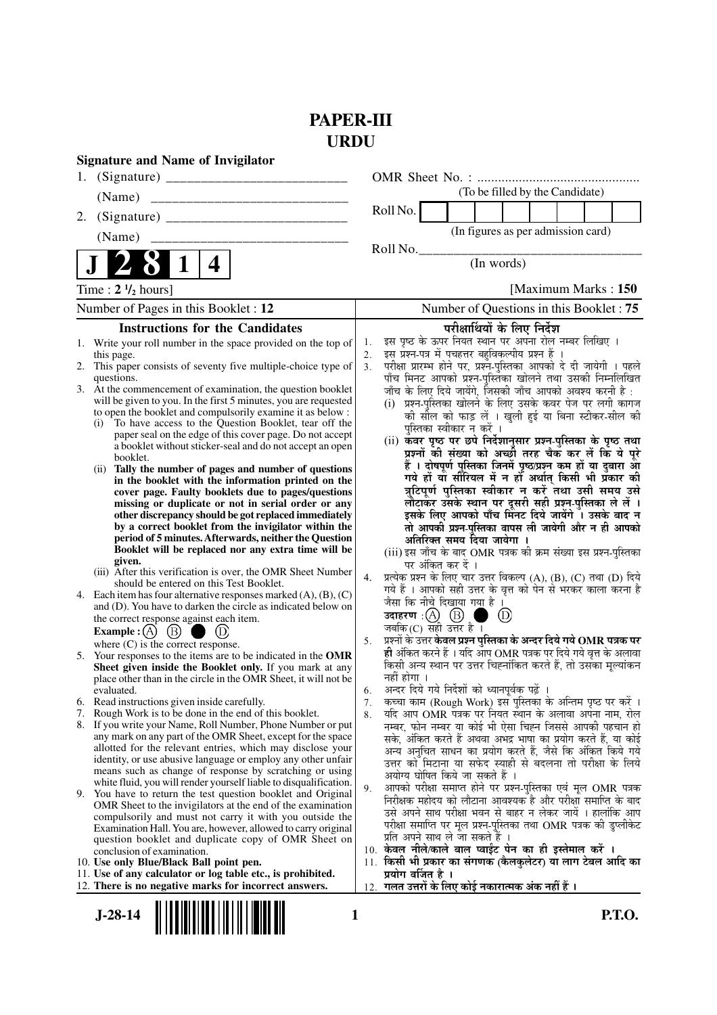## **PAPER-III URDU**

|                                                       | <b>Signature and Name of Invigilator</b>                                                                                                                                                                                                                                                                                                                                                                                                                                                                                                                                                                                                                                                                                                                                                                                                                                                                                                                                                                                                                                                                                                                                                                                                                                                                                                                                                                                                                                                                                                                                                                                                                                                                                                                                                                                                                                                                                                                                                                                                                                                                                                                                                  |                                                                |                                                                                                                                                                                                                                                                                                                                                                                                                                                                                                                                                                                                                                                                                                                                                                                                                                                                                                                                                                                                                                                                                                                                                                                                                                                                                                                                                                                                                                                                                                                                                                                                                                                                                                                                                                                                                                                                                                                                                                                                                                                                                                                                                   |
|-------------------------------------------------------|-------------------------------------------------------------------------------------------------------------------------------------------------------------------------------------------------------------------------------------------------------------------------------------------------------------------------------------------------------------------------------------------------------------------------------------------------------------------------------------------------------------------------------------------------------------------------------------------------------------------------------------------------------------------------------------------------------------------------------------------------------------------------------------------------------------------------------------------------------------------------------------------------------------------------------------------------------------------------------------------------------------------------------------------------------------------------------------------------------------------------------------------------------------------------------------------------------------------------------------------------------------------------------------------------------------------------------------------------------------------------------------------------------------------------------------------------------------------------------------------------------------------------------------------------------------------------------------------------------------------------------------------------------------------------------------------------------------------------------------------------------------------------------------------------------------------------------------------------------------------------------------------------------------------------------------------------------------------------------------------------------------------------------------------------------------------------------------------------------------------------------------------------------------------------------------------|----------------------------------------------------------------|---------------------------------------------------------------------------------------------------------------------------------------------------------------------------------------------------------------------------------------------------------------------------------------------------------------------------------------------------------------------------------------------------------------------------------------------------------------------------------------------------------------------------------------------------------------------------------------------------------------------------------------------------------------------------------------------------------------------------------------------------------------------------------------------------------------------------------------------------------------------------------------------------------------------------------------------------------------------------------------------------------------------------------------------------------------------------------------------------------------------------------------------------------------------------------------------------------------------------------------------------------------------------------------------------------------------------------------------------------------------------------------------------------------------------------------------------------------------------------------------------------------------------------------------------------------------------------------------------------------------------------------------------------------------------------------------------------------------------------------------------------------------------------------------------------------------------------------------------------------------------------------------------------------------------------------------------------------------------------------------------------------------------------------------------------------------------------------------------------------------------------------------------|
| 1.                                                    |                                                                                                                                                                                                                                                                                                                                                                                                                                                                                                                                                                                                                                                                                                                                                                                                                                                                                                                                                                                                                                                                                                                                                                                                                                                                                                                                                                                                                                                                                                                                                                                                                                                                                                                                                                                                                                                                                                                                                                                                                                                                                                                                                                                           |                                                                |                                                                                                                                                                                                                                                                                                                                                                                                                                                                                                                                                                                                                                                                                                                                                                                                                                                                                                                                                                                                                                                                                                                                                                                                                                                                                                                                                                                                                                                                                                                                                                                                                                                                                                                                                                                                                                                                                                                                                                                                                                                                                                                                                   |
|                                                       | (Name)                                                                                                                                                                                                                                                                                                                                                                                                                                                                                                                                                                                                                                                                                                                                                                                                                                                                                                                                                                                                                                                                                                                                                                                                                                                                                                                                                                                                                                                                                                                                                                                                                                                                                                                                                                                                                                                                                                                                                                                                                                                                                                                                                                                    |                                                                | (To be filled by the Candidate)                                                                                                                                                                                                                                                                                                                                                                                                                                                                                                                                                                                                                                                                                                                                                                                                                                                                                                                                                                                                                                                                                                                                                                                                                                                                                                                                                                                                                                                                                                                                                                                                                                                                                                                                                                                                                                                                                                                                                                                                                                                                                                                   |
| 2.                                                    |                                                                                                                                                                                                                                                                                                                                                                                                                                                                                                                                                                                                                                                                                                                                                                                                                                                                                                                                                                                                                                                                                                                                                                                                                                                                                                                                                                                                                                                                                                                                                                                                                                                                                                                                                                                                                                                                                                                                                                                                                                                                                                                                                                                           |                                                                | Roll No.                                                                                                                                                                                                                                                                                                                                                                                                                                                                                                                                                                                                                                                                                                                                                                                                                                                                                                                                                                                                                                                                                                                                                                                                                                                                                                                                                                                                                                                                                                                                                                                                                                                                                                                                                                                                                                                                                                                                                                                                                                                                                                                                          |
|                                                       | (Name)                                                                                                                                                                                                                                                                                                                                                                                                                                                                                                                                                                                                                                                                                                                                                                                                                                                                                                                                                                                                                                                                                                                                                                                                                                                                                                                                                                                                                                                                                                                                                                                                                                                                                                                                                                                                                                                                                                                                                                                                                                                                                                                                                                                    |                                                                | (In figures as per admission card)                                                                                                                                                                                                                                                                                                                                                                                                                                                                                                                                                                                                                                                                                                                                                                                                                                                                                                                                                                                                                                                                                                                                                                                                                                                                                                                                                                                                                                                                                                                                                                                                                                                                                                                                                                                                                                                                                                                                                                                                                                                                                                                |
|                                                       | 4                                                                                                                                                                                                                                                                                                                                                                                                                                                                                                                                                                                                                                                                                                                                                                                                                                                                                                                                                                                                                                                                                                                                                                                                                                                                                                                                                                                                                                                                                                                                                                                                                                                                                                                                                                                                                                                                                                                                                                                                                                                                                                                                                                                         |                                                                | Roll No.<br>(In words)                                                                                                                                                                                                                                                                                                                                                                                                                                                                                                                                                                                                                                                                                                                                                                                                                                                                                                                                                                                                                                                                                                                                                                                                                                                                                                                                                                                                                                                                                                                                                                                                                                                                                                                                                                                                                                                                                                                                                                                                                                                                                                                            |
| Time : $2 \frac{1}{2}$ hours]<br>[Maximum Marks: 150] |                                                                                                                                                                                                                                                                                                                                                                                                                                                                                                                                                                                                                                                                                                                                                                                                                                                                                                                                                                                                                                                                                                                                                                                                                                                                                                                                                                                                                                                                                                                                                                                                                                                                                                                                                                                                                                                                                                                                                                                                                                                                                                                                                                                           |                                                                |                                                                                                                                                                                                                                                                                                                                                                                                                                                                                                                                                                                                                                                                                                                                                                                                                                                                                                                                                                                                                                                                                                                                                                                                                                                                                                                                                                                                                                                                                                                                                                                                                                                                                                                                                                                                                                                                                                                                                                                                                                                                                                                                                   |
|                                                       | Number of Pages in this Booklet : 12                                                                                                                                                                                                                                                                                                                                                                                                                                                                                                                                                                                                                                                                                                                                                                                                                                                                                                                                                                                                                                                                                                                                                                                                                                                                                                                                                                                                                                                                                                                                                                                                                                                                                                                                                                                                                                                                                                                                                                                                                                                                                                                                                      |                                                                | Number of Questions in this Booklet: 75                                                                                                                                                                                                                                                                                                                                                                                                                                                                                                                                                                                                                                                                                                                                                                                                                                                                                                                                                                                                                                                                                                                                                                                                                                                                                                                                                                                                                                                                                                                                                                                                                                                                                                                                                                                                                                                                                                                                                                                                                                                                                                           |
|                                                       | <b>Instructions for the Candidates</b>                                                                                                                                                                                                                                                                                                                                                                                                                                                                                                                                                                                                                                                                                                                                                                                                                                                                                                                                                                                                                                                                                                                                                                                                                                                                                                                                                                                                                                                                                                                                                                                                                                                                                                                                                                                                                                                                                                                                                                                                                                                                                                                                                    |                                                                | परीक्षार्थियों के लिए निर्देश                                                                                                                                                                                                                                                                                                                                                                                                                                                                                                                                                                                                                                                                                                                                                                                                                                                                                                                                                                                                                                                                                                                                                                                                                                                                                                                                                                                                                                                                                                                                                                                                                                                                                                                                                                                                                                                                                                                                                                                                                                                                                                                     |
| 6.<br>7.<br>8.                                        | 1. Write your roll number in the space provided on the top of<br>this page.<br>2. This paper consists of seventy five multiple-choice type of<br>questions.<br>3. At the commencement of examination, the question booklet<br>will be given to you. In the first 5 minutes, you are requested<br>to open the booklet and compulsorily examine it as below :<br>To have access to the Question Booklet, tear off the<br>(i)<br>paper seal on the edge of this cover page. Do not accept<br>a booklet without sticker-seal and do not accept an open<br>booklet.<br>(ii) Tally the number of pages and number of questions<br>in the booklet with the information printed on the<br>cover page. Faulty booklets due to pages/questions<br>missing or duplicate or not in serial order or any<br>other discrepancy should be got replaced immediately<br>by a correct booklet from the invigilator within the<br>period of 5 minutes. Afterwards, neither the Question<br>Booklet will be replaced nor any extra time will be<br>given.<br>(iii) After this verification is over, the OMR Sheet Number<br>should be entered on this Test Booklet.<br>4. Each item has four alternative responses marked $(A)$ , $(B)$ , $(C)$<br>and (D). You have to darken the circle as indicated below on<br>the correct response against each item.<br>(B)<br><b>Example</b> : $(A)$<br>where $(C)$ is the correct response.<br>5. Your responses to the items are to be indicated in the OMR<br>Sheet given inside the Booklet only. If you mark at any<br>place other than in the circle in the OMR Sheet, it will not be<br>evaluated.<br>Read instructions given inside carefully.<br>Rough Work is to be done in the end of this booklet.<br>If you write your Name, Roll Number, Phone Number or put<br>any mark on any part of the OMR Sheet, except for the space<br>allotted for the relevant entries, which may disclose your<br>identity, or use abusive language or employ any other unfair<br>means such as change of response by scratching or using<br>white fluid, you will render yourself liable to disqualification.<br>9. You have to return the test question booklet and Original | 1.<br>2.<br>3 <sub>1</sub><br>4.<br>5.<br>6.<br>7.<br>8.<br>9. | इस पृष्ठ के ऊपर नियत स्थान पर अपना रोल नम्बर लिखिए ।<br>इस प्रश्न-पत्र में पचहत्तर बहुविकल्पीय प्रश्न हैं ।<br>परीक्षा प्रारम्भ होने पर, प्रश्न-पुस्तिका आपको दे दी जायेगी । पहले<br>पाँच मिनट आपको प्रश्न-पुस्तिका खोलने तथा उसकी निम्नलिखित<br>जाँच के लिए दिये जायेंगे, जिसकी जाँच आपको अवश्य करनी है :<br>(i) प्रश्न-पुस्तिका खोलने के लिए उसके कवर पेज पर लगी कागज<br>की सील को फाड़ लें । खुली हुई या बिना स्टीकर-सील की<br>पुस्तिका स्वीकार न करें ।<br>(ii) कवर पृष्ठ पर छपे निर्देशानुसार प्रश्न-पुस्तिका के पृष्ठ तथा<br>प्रश्नों की संख्या को अच्छी तरह चैक कर लें कि ये पूरे<br>हैं । दोषपूर्ण पुस्तिका जिनमें पृष्ठ/प्रश्न कम हों या दुबारा आ<br>गये हों यो सौरियल में न हों अर्थात् किसी भी प्रॅकार की<br>त्रुटिपूर्ण पुस्तिका स्वीकार न करें तथा उसी समय उसे<br>लौटाकर उसके स्थान पर दूसरी सही प्रश्न-पुस्तिका ले लें ।<br>इसके लिए आपको पाँच मिनट दिये जायेंगे । उसके बाद न<br>तो आपकी प्रश्न-पुस्तिका वापस ली जायेगी और न ही आपको<br>अतिरिक्त समय दिया जायेगा ।<br>(iii) इस जाँच के बाद OMR पत्रक की क्रम संख्या इस प्रश्न-पुस्तिका<br>पर अंकित कर दें ।<br>प्रत्येक प्रश्न के लिए चार उत्तर विकल्प (A), (B), (C) तथा (D) दिये<br>गये हैं । आपको सही उत्तर के वृत्त को पेन से भरकर काला करना है<br>जैसा कि नीचे दिखाया गया है ।<br>$^{\rm (D)}$<br>जबकि (C) सही उत्तर है $\overline{1}$<br>प्रश्नों के उत्तर केवल प्रश्न पुस्तिका के अन्दर दिये गये OMR पत्रक पर<br>ही अंकित करने हैं । यदि आप OMR पत्रक पर दिये गये वृत्त के अलावा<br>किसी अन्य स्थान पर उत्तर चिह्नांकित करते हैं, तो उसका मूल्यांकन<br>नहीं होगा ।<br>अन्दर दिये गये निर्देशों को ध्यानपूर्वक पढ़ें ।<br>कच्चा काम (Rough Work) इस पुस्तिका के अन्तिम पृष्ठ पर करें ।<br>यदि आप OMR पत्रक पर नियत स्थान के अलावा अपना नाम, रोल<br>नम्बर, फोन नम्बर या कोई भी ऐसा चिह्न जिससे आपकी पहचान हो<br>सके, अंकित करते हैं अथवा अभद्र भाषा का प्रयोग करते हैं, या कोई<br>अन्य अनुचित साधन का प्रयोग करते हैं, जैसे कि अंकित किये गये<br>उत्तर को मिटाना या सफेद स्याही से बदलना तो परीक्षा के लिये<br>अयोग्य घोषित किये जा सकते हैं ।<br>आपको परीक्षा समाप्त होने पर प्रश्न-पुस्तिका एवं मूल OMR पत्रक<br>निरीक्षक महोदय को लौटाना आवश्यक है और परीक्षा समाप्ति के बाद |
|                                                       | OMR Sheet to the invigilators at the end of the examination<br>compulsorily and must not carry it with you outside the<br>Examination Hall. You are, however, allowed to carry original<br>question booklet and duplicate copy of OMR Sheet on<br>conclusion of examination.<br>10. Use only Blue/Black Ball point pen.<br>11. Use of any calculator or log table etc., is prohibited.                                                                                                                                                                                                                                                                                                                                                                                                                                                                                                                                                                                                                                                                                                                                                                                                                                                                                                                                                                                                                                                                                                                                                                                                                                                                                                                                                                                                                                                                                                                                                                                                                                                                                                                                                                                                    |                                                                | उसे अपने साथ परीक्षा भवन से बाहर न लेकर जायें । हालांकि आप<br>परीक्षा समाप्ति पर मूल प्रश्न-पुस्तिका तथा OMR पत्रक की डुप्लीकेट<br>प्रति अपने साथ ले जा सकते हैं ।<br>10. केवल नीले/काले बाल प्वाईंट पेन का ही इस्तेमाल करें ।<br>11. किसी भी प्रकार का संगणक (कैलकुलेटर) या लाग टेबल आदि का<br>प्रयोग वर्जित है ।                                                                                                                                                                                                                                                                                                                                                                                                                                                                                                                                                                                                                                                                                                                                                                                                                                                                                                                                                                                                                                                                                                                                                                                                                                                                                                                                                                                                                                                                                                                                                                                                                                                                                                                                                                                                                                |
|                                                       | 12. There is no negative marks for incorrect answers.                                                                                                                                                                                                                                                                                                                                                                                                                                                                                                                                                                                                                                                                                                                                                                                                                                                                                                                                                                                                                                                                                                                                                                                                                                                                                                                                                                                                                                                                                                                                                                                                                                                                                                                                                                                                                                                                                                                                                                                                                                                                                                                                     |                                                                | 12.  गलत उत्तरों के लिए कोई नकारात्मक अंक नहीं हैं ।                                                                                                                                                                                                                                                                                                                                                                                                                                                                                                                                                                                                                                                                                                                                                                                                                                                                                                                                                                                                                                                                                                                                                                                                                                                                                                                                                                                                                                                                                                                                                                                                                                                                                                                                                                                                                                                                                                                                                                                                                                                                                              |
| $J-28-14$<br><b>P.T.O.</b><br>1                       |                                                                                                                                                                                                                                                                                                                                                                                                                                                                                                                                                                                                                                                                                                                                                                                                                                                                                                                                                                                                                                                                                                                                                                                                                                                                                                                                                                                                                                                                                                                                                                                                                                                                                                                                                                                                                                                                                                                                                                                                                                                                                                                                                                                           |                                                                |                                                                                                                                                                                                                                                                                                                                                                                                                                                                                                                                                                                                                                                                                                                                                                                                                                                                                                                                                                                                                                                                                                                                                                                                                                                                                                                                                                                                                                                                                                                                                                                                                                                                                                                                                                                                                                                                                                                                                                                                                                                                                                                                                   |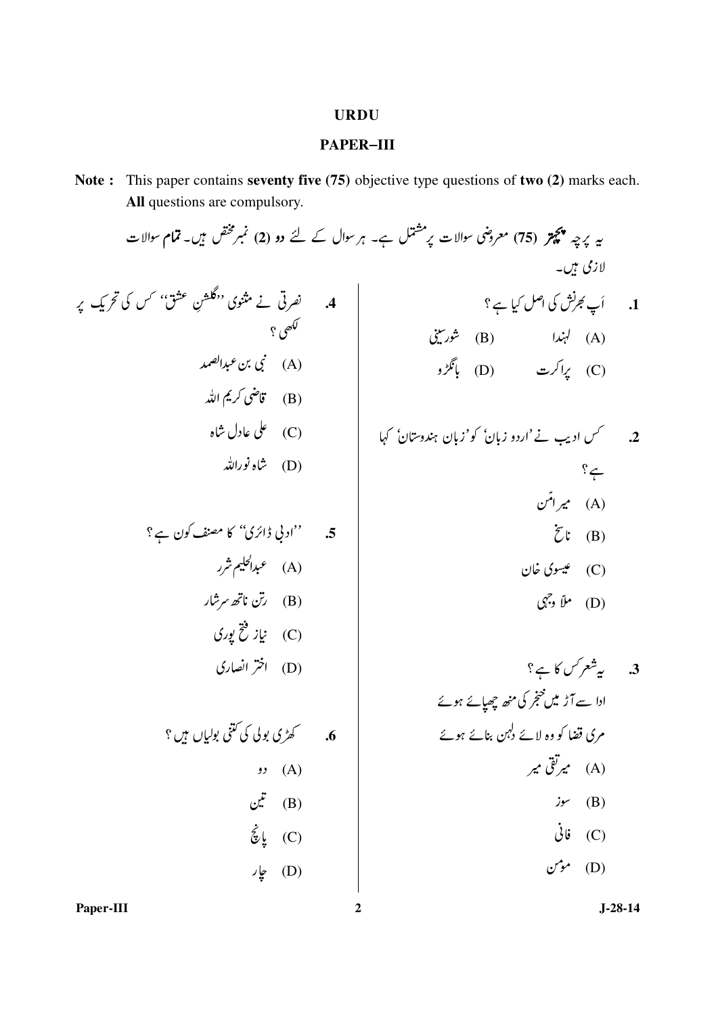## **URDU**

## **PAPER-III**

Note: This paper contains seventy five (75) objective type questions of two (2) marks each. All questions are compulsory.

| $z$ | $z$ | $z$ | $z$ |
|-----|-----|-----|-----|
| $z$ | $z$ | $z$ |     |
| $z$ | $z$ | $z$ |     |
| $z$ | $z$ | $z$ |     |
| $z$ | $z$ | $z$ |     |
| $z$ | $z$ | $z$ |     |
| $z$ | $z$ | $z$ |     |
| $z$ | $z$ |     |     |
| $z$ | $z$ |     |     |
| $z$ | $z$ |     |     |
| $z$ | $z$ |     |     |
| $z$ | $z$ |     |     |
| $z$ | $z$ |     |     |
| $z$ | $z$ |     |     |
| $z$ | $z$ |     |     |
| $z$ | $z$ |     |     |
| $z$ | $z$ |     |     |
| $z$ | $z$ |     |     |
| $z$ | $z$ |     |     |
| $z$ | $z$ |     |     |
| $z$ | $z$ |     |     |
| $z$ | $z$ |     |     |
| $z$ | $z$ |     |     |
|     |     |     |     |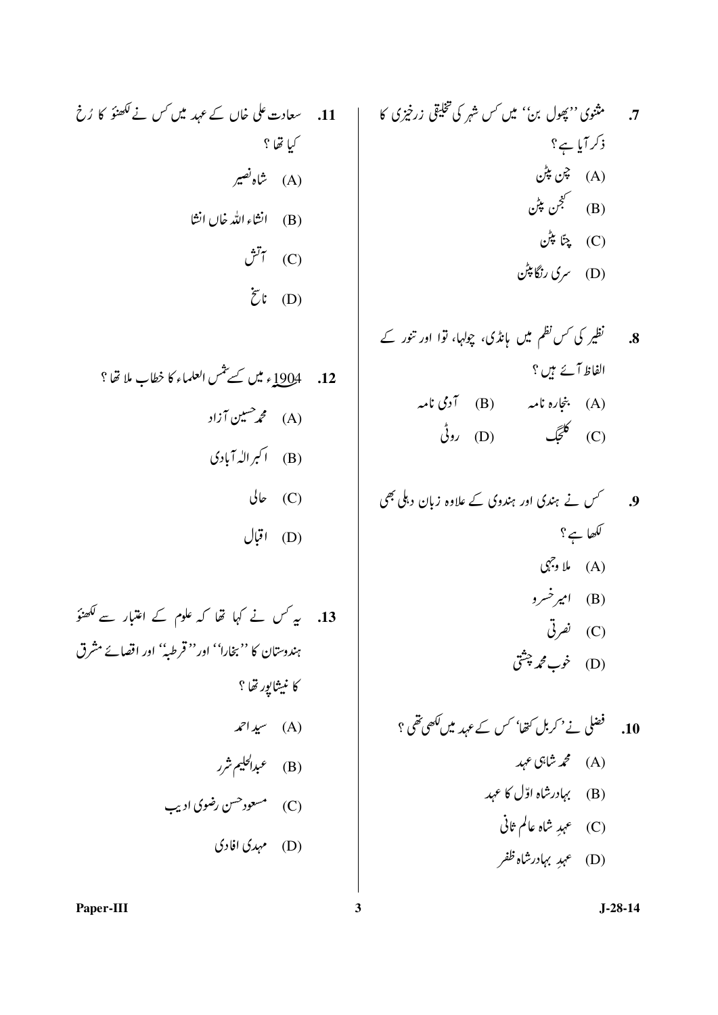7.  
\n7. 
$$
triv_2
$$
  $triv_2$   $triv_3$   $triv_4$   $triv_5$   
\n (A)  
\n (B)  
\n (C)  
\n (D)  
\n (D)  
\n (E)  
\n (D)  
\n (E)  
\n (D)  
\n (E)  
\n (D)  
\n (E)  
\n (E)  
\n (E)  
\n (E)  
\n (E)  
\n (E)  
\n (E)  
\n (E)  
\n (E)  
\n (E)  
\n (E)  
\n (E)  
\n (E)  
\n (E)  
\n (E)  
\n (E)  
\n (E)  
\n (E)  
\n (E)  
\n (E)  
\n (E)  
\n (E)  
\n (E)  
\n (E)  
\n (E)  
\n (E)  
\n (E)  
\n (E)  
\n (E)  
\n (E)  
\n (E)  
\n (E)  
\n (E)  
\n (E)  
\n (E)  
\n (E)  
\n (E)  
\n (E)  
\n (E)  
\n (E)  
\n (E)  
\n (E)  
\n (E)  
\n (E)  
\n (E)  
\n (E)  
\n (E)  
\n (E)  
\n (E)  
\n (E)  
\n (E)  
\n (E)  
\n (E)  
\n (E)  
\n (E)  
\n (E)  
\n (E)  
\n (E)  
\n (E)  
\n (E)  
\n (E)  
\n (E)  
\n (E)  
\n (E)  
\n (E)  
\n (E)  
\n (E)  
\n (E)  
\n (E)  
\n (E)  
\n (E)  
\n (E)  
\n (E)  
\n (E)  
\n (E)  
\n (E)  
\n (E)  
\n (E)  
\n (E)  
\n (E)  
\n (E)  
\n (E)  
\n (E)  
\n (E)  
\n (E)  
\n (E)  
\n (E)  
\n (E)  
\n (E)  
\n (E)

9.

\n9.

\n10. 
$$
\sqrt[3]{2}
$$

\n21.  $\sqrt[3]{2}$ 

\n32.  $\sqrt[3]{2}$ 

\n43.  $\sqrt[3]{2}$ 

\n54.  $\sqrt[3]{2}$ 

\n65.  $\sqrt[3]{2}$ 

\n76.  $\sqrt[3]{2}$ 

\n87.  $\sqrt[3]{2}$ 

\n9.

\n10.  $\sqrt[3]{2}$ 

\n11.  $\sqrt[3]{2}$ 

\n12.  $\sqrt[3]{2}$ 

\n13.  $\sqrt[3]{2}$ 

\n14.  $\sqrt[3]{2}$ 

\n15.  $\sqrt[3]{2}$ 

\n16.  $\sqrt[3]{2}$ 

\n17.  $\sqrt[3]{2}$ 

\n18.  $\sqrt[3]{2}$ 

\n19.  $\sqrt[3]{2}$ 

\n10.  $\sqrt[3]{2}$ 

\n11.  $\sqrt[3]{2}$ 

\n12.  $\sqrt[3]{2}$ 

\n13.  $\sqrt[3]{2}$ 

\n14.  $\sqrt[3]{2}$ 

\n15.  $\sqrt[3]{2}$ 

\n16.  $\sqrt[3]{2}$ 

\n17.  $\sqrt[3]{2}$ 

\n18.  $\sqrt[3]{2}$ 

\n19.  $\sqrt[3]{2}$ 

\n10.  $\sqrt[3]{2}$ 

\n11.  $\sqrt[3]{2}$ 

\n12.  $\sqrt[3]{2}$ 

\n13.  $\sqrt[3]{2}$ 

\n14.  $\sqrt[3]{2}$ 

\n15.  $\sqrt[3]{2}$ 

\n16.  $\sqrt[3]{2}$ 

\n17.  $\sqrt[3]{2}$ 

\n18.  $\sqrt[3]{2}$ 

\n19.  $\sqrt[3]{2}$ 

\n10.  $\sqrt[3]{2}$ 

\n1

$$
J-28-14
$$

ریل کس نے لکھنؤ کا رُخ  $\ddot{\mathcal{C}}$  $\tilde{z}$ t (D)

12. 1904ء 
$$
\frac{dy}{dx}
$$
 سےیٹس العلماء کا خطاب ملانھا?  
(A)  
7) اکہرالہ آبادی  
(B) مال

13. 
$$
u_x
$$
 کی کی امیتی کے امتبار سے کھنوً  
ہندوستان کا "یخارا" اور" قرطب" اور اقھاےَ مُرق  
کا نیشایپرینا?  
(A) سیداھمہتہر  
(B) میروکنی منوی ادیب  
(C) مسیوی کی ادیب

Paper-III

 $\overline{\mathbf{3}}$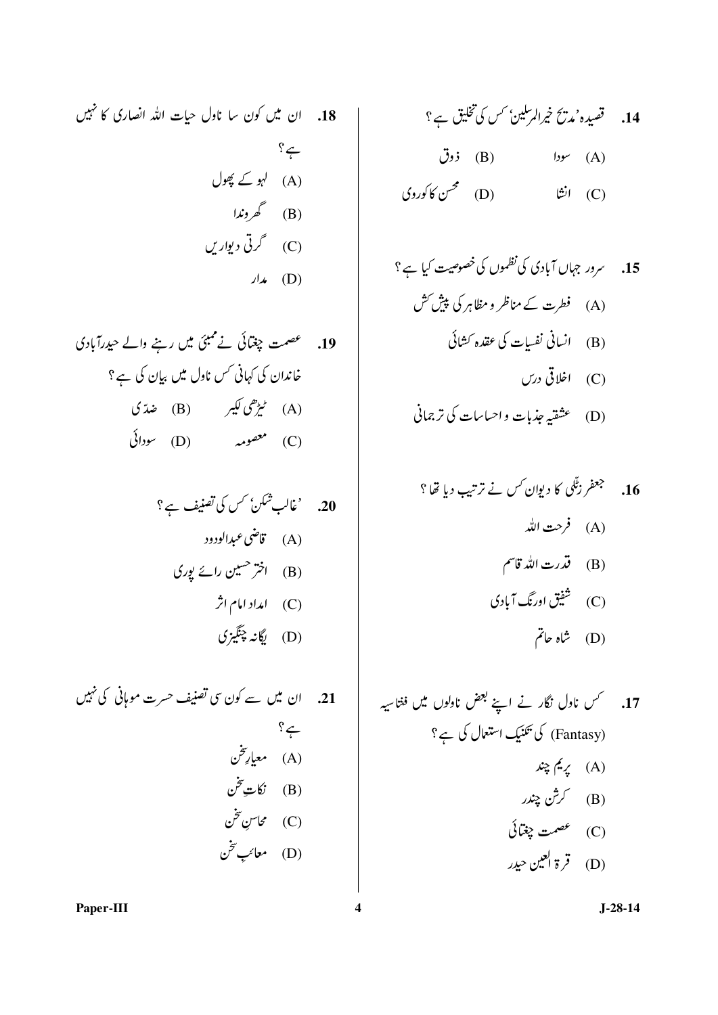18. ان میں کون سا ناول حیات اللہ انصاری کا نہیں  $\sum_{i}$ (A) لہو کے پھول (B) گھروندا (C) گرتی دیواریں  $J\star$  (D)

19. محصمت چغتائی نے ممبئی میں رہنے والے حیدرآبادی خاندان کی کہانی کس ناول میں بیان کی ہے؟ (A) ٹریڑھی کیبر (B) ضدّ ی  $(L)$  معصومہ (D) معصومہ

20. 
$$
'àالب شکن کس کی تھنیف ہے؟  
(A) تاقن عبدارلودد  
(B) اختر حمین رائ پوری  
(C) امداد امام اثر  
(D) یگاند چنگیزی
$$

21.  
\n10. 
$$
\sqrt{2}
$$
  
\n-3?  
\n4.  $\sqrt{2}$   
\n4.  $\sqrt{3}$   
\n4.  $\sqrt{3}$   
\n4.  $\sqrt{3}$   
\n4.  $\sqrt{3}$   
\n4.  $\sqrt{3}$   
\n4.  $\sqrt{3}$   
\n4.  $\sqrt{3}$   
\n4.  $\sqrt{3}$   
\n4.  $\sqrt{3}$   
\n4.  $\sqrt{3}$   
\n4.  $\sqrt{3}$   
\n4.  $\sqrt{3}$   
\n4.  $\sqrt{3}$   
\n4.  $\sqrt{3}$   
\n4.  $\sqrt{3}$   
\n4.  $\sqrt{3}$   
\n4.  $\sqrt{3}$   
\n4.  $\sqrt{3}$   
\n4.  $\sqrt{3}$   
\n4.  $\sqrt{3}$   
\n4.  $\sqrt{3}$   
\n4.  $\sqrt{3}$   
\n4.  $\sqrt{3}$   
\n4.  $\sqrt{3}$   
\n4.  $\sqrt{3}$   
\n4.  $\sqrt{3}$   
\n4.  $\sqrt{3}$   
\n4.  $\sqrt{3}$   
\n4.  $\sqrt{3}$   
\n4.  $\sqrt{3}$   
\n4.  $\sqrt{3}$   
\n4.  $\sqrt{3}$   
\n4.  $\sqrt{3}$   
\n4.  $\sqrt{3}$   
\n4.  $\sqrt{3}$   
\n4.  $\sqrt{3}$   
\n4.  $\sqrt{3}$   
\n4.  $\sqrt{3}$   
\n4.  $\sqrt{3}$   
\n4.  $\sqrt{3}$   
\n4.  $\sqrt{3}$   
\n4.  $\sqrt{3}$   
\n4.  $\sqrt{3}$   
\n4.  $\sqrt{3}$   
\n4.  $\sqrt{3}$   
\n4.  $\sqrt{3}$   
\n4.  $\sqrt{3}$   
\n4.  $\sqrt{3}$   
\n4.  $\sqrt{3}$   
\n4.  $\sqrt{3}$   
\n4.  $\sqrt{3}$   
\n4.  $\sqrt{3}$ 

(D) 
$$
xi_{x}
$$
 بۇب<sub>ا</sub>ت واحیاسات کا ترچان

16. 
$$
354\sqrt{3}
$$
 ویوان کس نے ترتیب دیا تھا ?  
(A) فرعت الٹد قاسم  
(B) قدرت الٹد قاسم  
(C) شفیق اورنگ آبادی  
(D)

Paper-III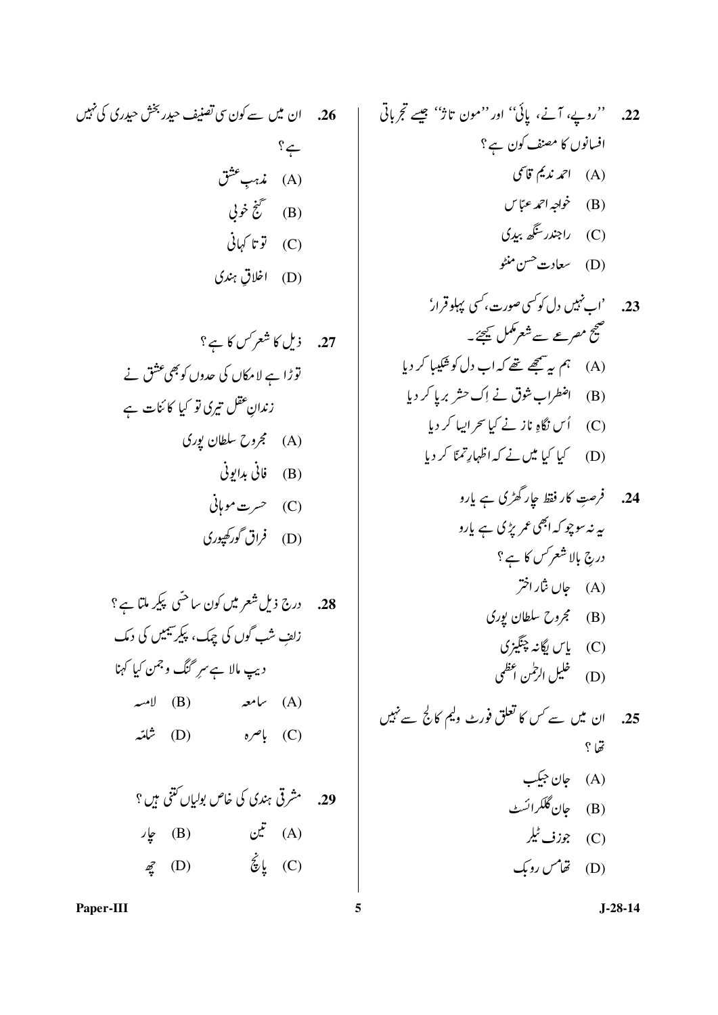.<br>**26. ان میں سے کون سی تصنیف حیدر** بخش حیدری کی نہیں  $? \leftarrow$ (A) مذہبِ عشق (B) گُنج خوبي (C) توتا کہانی (D) اخلاق ہندی

27. 
$$
i\underline{1}J \underline{2}J
$$
\n
$$
\overline{3} \stackrel{?}{\leq} j \stackrel{?}{\leq} j \stackrel{?}{\leq} j \stackrel{?}{\leq} j \stackrel{?}{\leq} j \stackrel{?}{\leq} j \stackrel{?}{\leq} j \stackrel{?}{\leq} j \stackrel{?}{\leq} j \stackrel{?}{\leq} j \stackrel{?}{\leq} j \stackrel{?}{\leq} j \stackrel{?}{\leq} j \stackrel{?}{\leq} j \stackrel{?}{\leq} j \stackrel{?}{\leq} j \stackrel{?}{\leq} j \stackrel{?}{\leq} j \stackrel{?}{\leq} j \stackrel{?}{\leq} j \stackrel{?}{\leq} j \stackrel{?}{\leq} j \stackrel{?}{\leq} j \stackrel{?}{\leq} j \stackrel{?}{\leq} j \stackrel{?}{\leq} j \stackrel{?}{\leq} j \stackrel{?}{\leq} j \stackrel{?}{\leq} j \stackrel{?}{\leq} j \stackrel{?}{\leq} j \stackrel{?}{\leq} j \stackrel{?}{\leq} j \stackrel{?}{\leq} j \stackrel{?}{\leq} j \stackrel{?}{\leq} j \stackrel{?}{\leq} j \stackrel{?}{\leq} j \stackrel{?}{\leq} j \stackrel{?}{\leq} j \stackrel{?}{\leq} j \stackrel{?}{\leq} j \stackrel{?}{\leq} j \stackrel{?}{\leq} j \stackrel{?}{\leq} j \stackrel{?}{\leq} j \stackrel{?}{\leq} j \stackrel{?}{\leq} j \stackrel{?}{\leq} j \stackrel{?}{\leq} j \stackrel{?}{\leq} j \stackrel{?}{\leq} j \stackrel{?}{\leq} j \stackrel{?}{\leq} j \stackrel{?}{\leq} j \stackrel{?}{\leq} j \stackrel{?}{\leq} j \stackrel{?}{\leq} j \stackrel{?}{\leq} j \stackrel{?}{\leq} j \stackrel{?}{\leq} j \stackrel{?}{\leq} j \stackrel{?}{\leq} j \stackrel{?}{\leq} j \stackrel{?}{\leq} j \stackrel{?}{\leq} j \
$$

۔<br>28. درج ذیل شعر میں کون ساحتی پکیر ملتا ہے ؟ .<br>زا<sub>ئف</sub> شب گوں کی جمک، پکیرسیمیں کی دمک دیپ مالا ہے سرِ گنگ وجمن کیا کہنا  $\downarrow$  (B)  $\downarrow$  (A) باصره (D) باصره (D) 29. مشرقی ہندی کی خاص بولیاں کتنی ہیں ؟ لين (B) يار (A)

 $\vec{z}$  (D)  $\dot{\vec{z}}$  (C)

22.  
\n1. 
$$
(e, \frac{1}{2})
$$
 7.  $(e, \frac{1}{2})$  8.  $(e, \frac{1}{2})$   
\n16.  $(f, \frac{1}{2})$  9.  $(f, \frac{1}{2})$   
\n17.  $(g, \frac{1}{2})$   
\n18.  $(g, \frac{1}{2})$   
\n19.  $(g, \frac{1}{2})$   
\n10.  $(h, \frac{1}{2})$   
\n11.  $(h, \frac{1}{2})$   
\n12.  $(h, \frac{1}{2})$   
\n13.  $(h, \frac{1}{2})$   
\n14.  $(h, \frac{1}{2})$   
\n15.  $(h, \frac{1}{2})$   
\n16.  $(h, \frac{1}{2})$   
\n17.  $(h, \frac{1}{2})$   
\n18.  $(h, \frac{1}{2})$   
\n19.  $(h, \frac{1}{2})$   
\n10.  $(h, \frac{1}{2})$   
\n11.  $(h, \frac{1}{2})$   
\n12.  $(h, \frac{1}{2})$   
\n13.  $(h, \frac{1}{2})$   
\n14.  $(h, \frac{1}{2})$   
\n15.  $(h, \frac{1}{2})$   
\n16.  $(h, \frac{1}{2})$   
\n17.  $(h, \frac{1}{2})$   
\n18.  $(h, \frac{1}{2})$   
\n19.  $(h, \frac{1}{2})$   
\n10.  $(h, \frac{1}{2})$   
\n11.  $(h, \frac{1}{2})$   
\n12.  $(h, \frac{1}{2})$   
\n13.  $(h, \frac{1}{2})$   
\n14.  $(h, \frac{1}{2})$   
\n15.  $(h, \frac{1}{2})$   
\n16.  $(h, \frac{1}{2})$   
\n17.  $(h, \frac{1}{2})$   
\n18.  $(h, \frac{1}{$ 

(1)  
(D) 
$$
{{\tilde{\omega}}^{\dagger}}^{\nu}
$$

Paper-III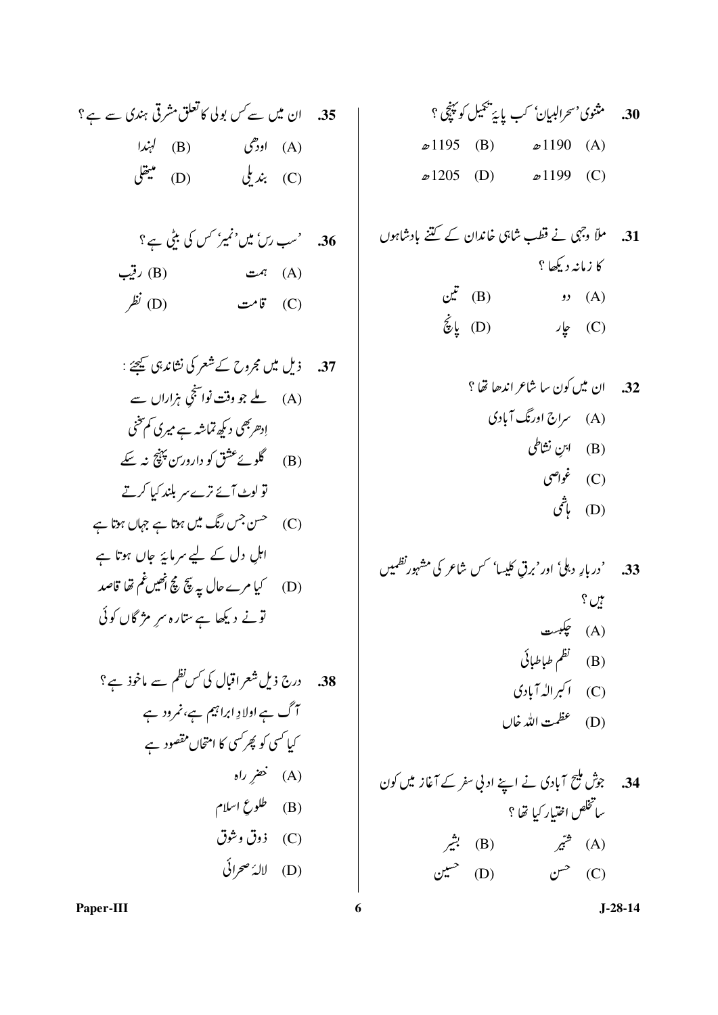(D) لالهُ صحرائی

(C) ذوق وشوق

30. مثنوي' سحرالبيان' کب پايَه تنھيل کو پَنچَي ؟  $\infty 1195$  (B)  $\infty 1190$  (A)  $\omega$ 1205 (D)  $\omega$ 1199 (C)

- 31. ملاً وجہی نے قطب شاہی خاندان کے گنتے بادشاہوں کا زمانیہ دیکھا ؟
	- $\mathfrak{C}^{\mathbf{r}}$  (B)  $\qquad \qquad$  (A)  $\dot{\tilde{z}}$ یا (D) (C) چار
		- 32. ان میں کون سا شاعر اندھا تھا ؟ (A) سراج اورنگ آبادی (B) ابنِ نشاطی (C) غواصي
			- (D) پاڻمي
- 33. 'دربارِ دہلی' اور'برق کلیسا' <sup>س</sup>س شاعر کی مشہورنظمیں بيں ؟ (A) چکبست (B) نظم طباطبائی (C) اکبرالہ آبادی (D) عظمت الله خال
- 34. جوش ملیح آبادی نے اپنے ادنی سفر کے آغاز میں کون ساتخلص اختبار كيا تھا ؟ (A) <sup>ش</sup>یّر (B) بش<sub>ر</sub> ن (D) (C)  $\mathbb{C}^{\mathbb{C}}$  (C)

Paper-III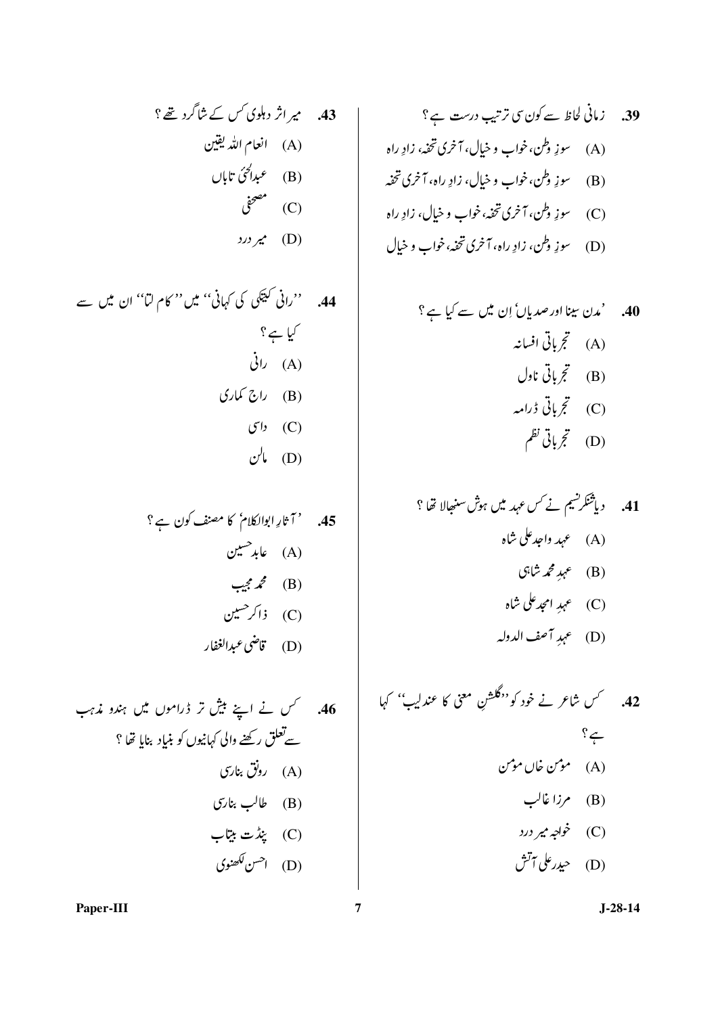$$
\begin{array}{ccc}\n? & & \\
? & \stackrel{\pi}{\leq} 3 \\
\hline\n\vdots \\
\hline\n\vdots \\
\hline\n\vdots \\
\hline\n\vdots \\
\hline\n\vdots \\
\hline\n\vdots \\
\hline\n\vdots \\
\hline\n\vdots \\
\hline\n\vdots \\
\hline\n\vdots \\
\hline\n\vdots \\
\hline\n\vdots \\
\hline\n\vdots \\
\hline\n\vdots \\
\hline\n\vdots \\
\hline\n\vdots \\
\hline\n\vdots \\
\hline\n\vdots \\
\hline\n\vdots \\
\hline\n\vdots \\
\hline\n\vdots \\
\hline\n\vdots \\
\hline\n\vdots \\
\hline\n\vdots \\
\hline\n\vdots \\
\hline\n\vdots \\
\hline\n\vdots \\
\hline\n\vdots \\
\hline\n\vdots \\
\hline\n\vdots \\
\hline\n\vdots \\
\hline\n\vdots \\
\hline\n\vdots \\
\hline\n\vdots \\
\hline\n\vdots \\
\hline\n\vdots \\
\hline\n\vdots \\
\hline\n\vdots \\
\hline\n\vdots \\
\hline\n\vdots \\
\hline\n\vdots \\
\hline\n\vdots \\
\hline\n\vdots \\
\hline\n\vdots \\
\hline\n\vdots \\
\hline\n\vdots \\
\hline\n\vdots \\
\hline\n\vdots \\
\hline\n\vdots \\
\hline\n\vdots \\
\hline\n\vdots \\
\hline\n\vdots \\
\hline\n\vdots \\
\hline\n\vdots \\
\hline\n\vdots \\
\hline\n\vdots \\
\hline\n\vdots \\
\hline\n\vdots \\
\hline\n\vdots \\
\hline\n\vdots \\
\hline\n\vdots \\
\hline\n\vdots \\
\hline\n\vdots \\
\hline\n\vdots \\
\hline\n\vdots \\
\hline\n\vdots \\
\hline\n\vdots \\
\hline\n\vdots \\
\hline\n\vdots \\
\hline\n\vdots \\
\hline\n\vdots \\
\hline\n\vdots \\
\hline\n\vdots \\
\hline\n\vdots \\
\hline\n\vdots \\
\hline\n\vdots \\
\hline\n\vdots \\
\hline\n\vdots \\
\hline\n\vdots \\
\hline\n\vdots \\
\hline\n\vdots \\
\hline\n\vdots \\
\hline\n\vdots \\
\hline\n\vdots \\
\hline\n\vdots \\
\hline\n\vdots \\
\hline\n\vdots \\
\hline\n\vdots \\
\hline\n\vdots \\
\hline\n\vdots \\
\hline\n\vdots \\
\hline\n\
$$

44. 
$$
{}^{67} (i \n\bigcirc \sqrt[n]{x^{2}}) \bigcirc \sqrt[n]{x^{6}}
$$
  ${}^{79} \bigcirc \sqrt[n]{x^{6}}$   
\n(A)  ${}^{70} \bigcirc \sqrt[n]{x}$   
\n(B)  ${}^{70} \bigcirc \sqrt[n]{x}$   
\n(C)  ${}^{70} \bigcirc \sqrt[n]{x}$   
\n(D)  ${}^{70} \bigcirc \sqrt[n]{x}$ 

40. 'م<sup>ن</sup> بینا اور صدیان' اِن ہیں سے کیا ہے?  
(A) 
$$
ext{ } \xi
$$
 بائی اخیان  
(B)  $ext{ } \xi$  بانی ڈرامہ  
(C)  $ext{ } \xi$  بانی نامہ

42. 
$$
\sqrt{}
$$
 12.  $\sqrt{}$   
\n42.  $\frac{2}{7}$   
\n44.  $\frac{2}{7}$   
\n45.  $\sqrt{}$   
\n46.  $\sqrt{}$   
\n47.  $\sqrt{}$   
\n48.  $\sqrt{}$   
\n49.  $\sqrt{}$   
\n40.  $\sqrt{}$   
\n41.  $\sqrt{}$   
\n42.  $\sqrt{}$   
\n44.  $\sqrt{}$   
\n45.  $\sqrt{}$   
\n46.  $\sqrt{}$   
\n47.  $\sqrt{}$   
\n48.  $\sqrt{}$   
\n49.  $\sqrt{}$   
\n40.  $\sqrt{}$   
\n41.  $\sqrt{}$   
\n42.  $\sqrt{}$   
\n43.  $\sqrt{}$   
\n44.  $\sqrt{}$   
\n45.  $\sqrt{}$   
\n46.  $\sqrt{}$   
\n47.  $\sqrt{}$   
\n48.  $\sqrt{}$   
\n49.  $\sqrt{}$   
\n40.  $\sqrt{}$   
\n41.  $\sqrt{}$   
\n42.  $\sqrt{}$   
\n43.  $\sqrt{}$   
\n44.  $\sqrt{}$   
\n45.  $\sqrt{}$   
\n46.  $\sqrt{}$   
\n47.  $\sqrt{}$   
\n48.  $\sqrt{}$   
\n49.  $\sqrt{}$   
\n40.  $\sqrt{}$   
\n41.  $\sqrt{}$   
\n42.  $\sqrt{}$   
\n45.  $\sqrt{}$   
\n49.  $\sqrt{}$   
\n40.  $\sqrt{}$   
\n41.  $\sqrt{}$   
\n42.  $\sqrt{}$   
\n43.  $\sqrt{}$   
\n44.  $\sqrt{}$   
\n45.  $\sqrt{}$   
\n46.  $\sqrt{}$   
\n47.  $\sqrt{}$   
\n49.  $\sqrt{}$   
\n40.  $\sqrt{}$   
\n41.  $\sqrt{}$   
\n42. 

Paper-III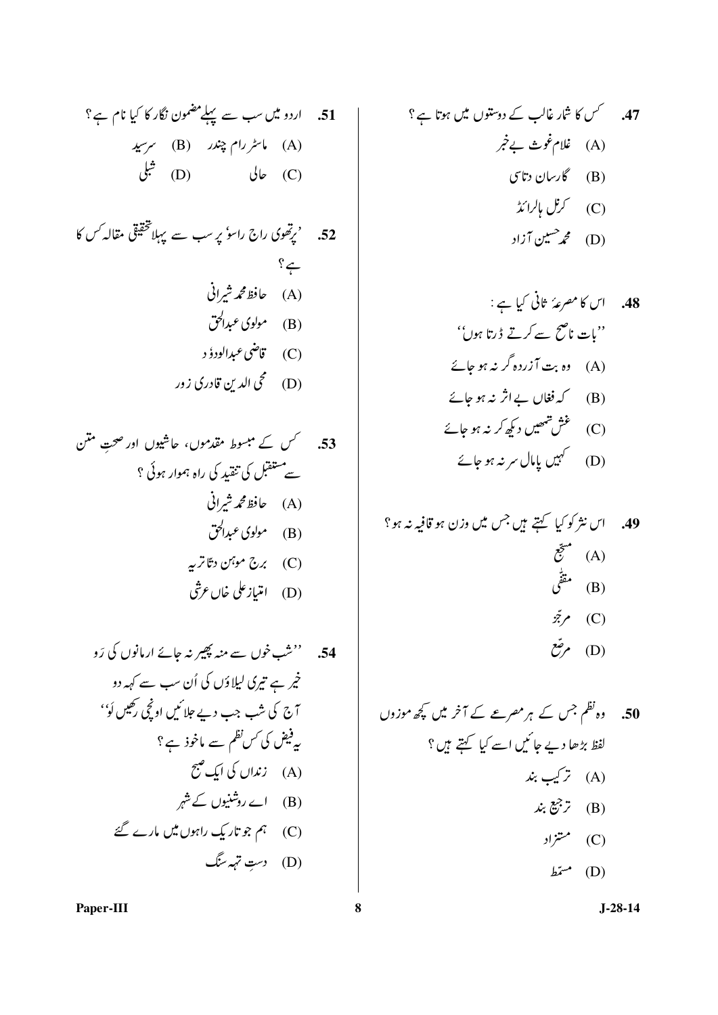54.  
54. 
$$
{}^{''}
$$
 54.  
 $\dot{\vec{z}}$ ,  $\dot{\vec{z}}$ ,  $\dot{\vec{z}}$ ,  $\dot{\vec{z}}$ ,  $\dot{\vec{z}}$ ,  $\dot{\vec{z}}$ ,  $\dot{\vec{z}}$ ,  $\dot{\vec{z}}$ ,  $\dot{\vec{z}}$ ,  $\dot{\vec{z}}$ ,  $\dot{\vec{z}}$ ,  $\dot{\vec{z}}$ ,  $\dot{\vec{z}}$ ,  $\dot{\vec{z}}$ ,  $\dot{\vec{z}}$ ,  $\dot{\vec{z}}$ ,  $\dot{\vec{z}}$ ,  $\dot{\vec{z}}$ ,  $\dot{\vec{z}}$ ,  $\dot{\vec{z}}$ ,  $\dot{\vec{z}}$ ,  $\dot{\vec{z}}$ ,  $\dot{\vec{z}}$ ,  $\dot{\vec{z}}$ ,  $\dot{\vec{z}}$ ,  $\dot{\vec{z}}$ ,  $\dot{\vec{z}}$ ,  $\dot{\vec{z}}$ ,  $\dot{\vec{z}}$ ,  $\dot{\vec{z}}$ ,  $\dot{\vec{z}}$ ,  $\dot{\vec{z}}$ ,  $\dot{\vec{z}}$ ,  $\dot{\vec{z}}$ ,  $\dot{\vec{z}}$ ,  $\dot{\vec{z}}$ ,  $\dot{\vec{z}}$ ,  $\dot{\vec{z}}$ ,  $\dot{\vec{z}}$ ,  $\dot{\vec{z}}$ ,  $\dot{\vec{z}}$ ,  $\dot{\vec{z}}$ ,  $\dot{\vec{z}}$ ,  $\dot{\vec{z}}$ ,  $\dot{\vec{z}}$ ,  $\dot{\vec{z}}$ ,  $\dot{\vec{z}}$ ,  $\dot{\vec{z}}$ ,  $\dot{\vec{z}}$ ,  $\dot{\vec{z}}$ ,  $\dot{\vec{z}}$ ,  $\dot{\vec{z}}$ ,  $\dot{\vec{z}}$ ,  $\dot{\vec{z}}$ ,  $\dot{\vec{z}}$ ,  $\dot{\vec{z}}$ ,  $\dot{\vec{z}}$ ,  $\dot{\vec{z}}$ ,  $\dot{\vec{z}}$ ,  $\dot{\vec{z}}$ ,  $\dot{\vec{z}}$ ,  $\dot{\vec{z}}$ ,  $\dot{\vec{z}}$ ,  $\dot{\vec{z}}$ ,  $\dot{\vec{z}}$ ,  $\dot{\vec{z}}$ ,  $\dot{\vec{z}}$ ,  $\dot{\$ 

47. 
$$
\rightarrow
$$
  $\rightarrow$   $\rightarrow$   $\rightarrow$   $\rightarrow$   $\rightarrow$   $\rightarrow$   $\rightarrow$   $\rightarrow$   $\rightarrow$   $\rightarrow$   $\rightarrow$   $\rightarrow$   $\rightarrow$   $\rightarrow$   $\rightarrow$   $\rightarrow$   $\rightarrow$   $\rightarrow$   $\rightarrow$   $\rightarrow$   $\rightarrow$   $\rightarrow$   $\rightarrow$   $\rightarrow$   $\rightarrow$   $\rightarrow$   $\rightarrow$   $\rightarrow$   $\rightarrow$   $\rightarrow$   $\rightarrow$   $\rightarrow$   $\rightarrow$   $\rightarrow$   $\rightarrow$   $\rightarrow$   $\rightarrow$   $\rightarrow$   $\rightarrow$   $\rightarrow$   $\rightarrow$   $\rightarrow$   $\rightarrow$   $\rightarrow$   $\rightarrow$   $\rightarrow$   $\rightarrow$   $\rightarrow$   $\rightarrow$   $\rightarrow$   $\rightarrow$   $\rightarrow$   $\rightarrow$   $\rightarrow$   $\rightarrow$   $\rightarrow$   $\rightarrow$   $\rightarrow$   $\rightarrow$   $\rightarrow$   $\rightarrow$   $\rightarrow$   $\rightarrow$   $\rightarrow$   $\rightarrow$   $\rightarrow$   $\rightarrow$   $\rightarrow$   $\rightarrow$   $\rightarrow$   $\rightarrow$   $\rightarrow$   $\rightarrow$   $\rightarrow$   $\rightarrow$   $\rightarrow$   $\rightarrow$   $\rightarrow$   $\rightarrow$   $\rightarrow$   $\rightarrow$   $\rightarrow$   $\rightarrow$   $\rightarrow$   $\rightarrow$   $\rightarrow$   $\rightarrow$   $\rightarrow$   $\rightarrow$   $\rightarrow$   $\rightarrow$   $\rightarrow$   $\rightarrow$   $\rightarrow$   $\rightarrow$   $\rightarrow$   $\rightarrow$   $\rightarrow$   $\rightarrow$   $\rightarrow$   $\rightarrow$   $\rightarrow$   $\rightarrow$   $\rightarrow$   $\rightarrow$   $\rightarrow$   $\rightarrow$   $\rightarrow$ 

48.  
\n|U 8^ 1
$$
^{\circ}
$$
  $^{\circ}$   $^{\circ}$   $^{\circ}$   $^{\circ}$   $^{\circ}$   
\n"{} $^{\circ}$   $^{\circ}$   $^{\circ}$   $^{\circ}$   
\n"{} $^{\circ}$   $^{\circ}$   $^{\circ}$   
\n"{} $^{\circ}$   $^{\circ}$   
\n"{} $^{\circ}$   $^{\circ}$   
\n"{} $^{\circ}$   $^{\circ}$   
\n"{} $^{\circ}$   $^{\circ}$   
\n"{} $^{\circ}$   $^{\circ}$   
\n"{} $^{\circ}$   $^{\circ}$   
\n"{} $^{\circ}$   
\n"{} $^{\circ}$   
\n"{} $^{\circ}$   
\n"{} $^{\circ}$   
\n"{} $^{\circ}$   
\n"{} $^{\circ}$   
\n"{} $^{\circ}$   
\n"{} $^{\circ}$   
\n"{} $^{\circ}$   
\n"{} $^{\circ}$   
\n"{} $^{\circ}$   
\n"{} $^{\circ}$   
\n"{} $^{\circ}$   
\n"{} $^{\circ}$   
\n"{} $^{\circ}$   
\n"{} $^{\circ}$   
\n"{} $^{\circ}$   
\n"{} $^{\circ}$   
\n"{} $^{\circ}$   
\n"{} $^{\circ}$   
\n"{} $^{\circ}$   
\n"{} $^{\circ}$   
\n"{} $^{\circ}$   
\n"{} $^{\circ}$   
\n"{} $^{\circ}$   
\n"{} $^{\circ}$   
\n"{} $^{\circ}$   
\n"{} $^{\circ}$   
\n"{} $^{\circ}$   
\n"{} $^{\circ}$   
\n"{} $^{\circ}$   
\n"{} $^{\circ}$   
\n"{} $^{\circ}$   
\n"{} $^{\circ}$   
\n"{} $^{\circ$ 

49. اس نثرکرکیا کہتے ہیں جس ہیں وزن ہوتافیہ نہ ہو؟
$$
(A)
$$
\n
$$
r \frac{z}{z}
$$
\n
$$
(B)
$$
\n
$$
r \frac{z}{z}
$$
\n
$$
r \frac{z}{z}
$$
\n
$$
r \frac{z}{z}
$$
\n
$$
r \frac{z}{z}
$$
\n
$$
r \frac{z}{z}
$$
\n
$$
r \frac{z}{z}
$$
\n
$$
r \frac{z}{z}
$$
\n
$$
r \frac{z}{z}
$$
\n
$$
r \frac{z}{z}
$$
\n
$$
r \frac{z}{z}
$$
\n
$$
r \frac{z}{z}
$$
\n
$$
r \frac{z}{z}
$$
\n
$$
r \frac{z}{z}
$$
\n
$$
r \frac{z}{z}
$$
\n
$$
r \frac{z}{z}
$$
\n
$$
r \frac{z}{z}
$$
\n
$$
r \frac{z}{z}
$$
\n
$$
r \frac{z}{z}
$$
\n
$$
r \frac{z}{z}
$$
\n
$$
r \frac{z}{z}
$$

50. 
$$
l_0
$$
 50.  $l_0$  50.  $l_0$  50.  $l_0$  50.  $l_1$  51.  $l_1$  52.  $l_2$  54.  $l_1$  55.  $l_2$  56.  $l_1$  57.  $l_2$  57.  $l_1$  58.  $l_1$  59.  $l_1$  50.  $l_1$  52.  $l_1$  53.  $l_1$  54.  $l_1$  55.  $l_1$  56.  $l_1$  57.  $l_1$  58.  $l_1$  59.  $l_1$  50.  $l_1$  51.  $l_1$  52.  $l_1$  53.  $l_1$  54.  $l_1$  55.  $l_1$  56.  $l_1$  57.  $l_1$  58.  $l_1$  59.  $l_1$  50.  $l_1$  51.  $l_1$  52.  $l_1$  53.  $l_1$  54.  $l_1$  55.  $l_1$  56.  $l_1$  57.  $l_1$  58.  $l_1$  59.  $l_1$  50.  $l_1$  51.  $l_1$  52.  $l_1$  53.  $l_1$  54.  $l_1$  55.  $l_1$  56.  $l_1$  57.  $l_1$  58.  $l_1$  59.  $l_1$  50.  $l_1$  51.  $l_1$  52.  $l_1$  53.  $l_1$  54.  $l_1$  55.  $l_1$ 

Paper-III

 $\bf{8}$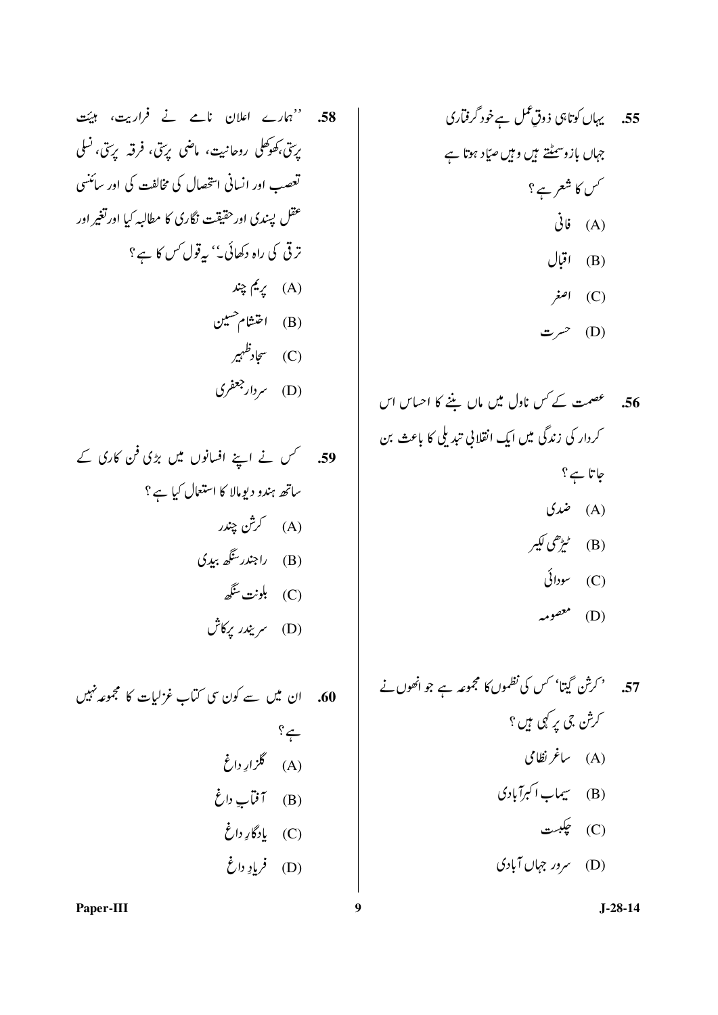55. 
$$
27\sqrt{3}
$$
  
155.  $27\sqrt{3}$   
155.  $37\sqrt{3}$   
16.  $37\sqrt{3}$   
17.  $37\sqrt{3}$   
18.  $37\sqrt{3}$   
19.  $19\sqrt{3}$   
19.  $19\sqrt{3}$   
19.  $19\sqrt{3}$   
19.  $19\sqrt{3}$   
19.  $19\sqrt{3}$   
19.  $19\sqrt{3}$   
19.  $19\sqrt{3}$   
19.  $19\sqrt{3}$   
19.  $19\sqrt{3}$   
19.  $19\sqrt{3}$   
19.  $19\sqrt{3}$   
19.  $19\sqrt{3}$   
19.  $19\sqrt{3}$   
19.  $19\sqrt{3}$   
19.  $19\sqrt{3}$   
19.  $19\sqrt{3}$   
19.  $19\sqrt{3}$   
19.  $19\sqrt{3}$   
19.  $19\sqrt{3}$   
19.  $19\sqrt{3}$   
19.  $19\sqrt{3}$   
19.  $19\sqrt{3}$   
19.  $19\sqrt{3}$   
19.  $19\sqrt{3}$   
19.  $19\sqrt{3}$   
19.  $19\sqrt{3}$   
19.  $19\sqrt{3}$   
19.  $19\sqrt{3}$   
19.  $19\sqrt{3}$   
19.  $19\sqrt{3}$   
19.  $19\sqrt{3}$   
19.  $19\sqrt{3}$   
19.  $19\sqrt{3}$   
19.  $19\sqrt{3}$   
19.  $19\sqrt{3}$   
19.  $19\sqrt{3}$   
19.  $19\sqrt{3}$   
19.  $19\sqrt{3}$   
19.  $19\sqrt{3}$ <

56. عصمت کے حس ناول میں ماں بننے کا احساس اس کردار کی زندگی میں ایک انقلانی تبدیلی کا باعث بن جاتا ہے؟ (A) ضمدی (B) ٹیڑ ھی لکیر  $\mathcal{E}$   $\mathcal{E}$   $\mathcal{E}$   $\mathcal{E}$   $\mathcal{E}$   $\mathcal{E}$  $\rightarrow$   $\sim$   $($ D)

57. 
$$
{}^{6}C_{1}C_{2}C_{3}
$$
  ${}^{6}C_{4}C_{5}$   
\n7.  ${}^{6}C_{1}C_{2}C_{3}$   
\n8.  ${}^{6}C_{2}C_{3}$   
\n9.  ${}^{6}C_{3}C_{4}$   
\n10.  ${}^{6}C_{4}C_{5}$   
\n11.  ${}^{6}C_{4}C_{5}$   
\n12.  ${}^{6}C_{4}C_{5}$   
\n13.  ${}^{6}C_{4}C_{5}$   
\n14.  ${}^{6}C_{4}C_{5}$   
\n15.  ${}^{6}C_{4}C_{5}$   
\n16.  ${}^{6}C_{4}C_{5}$   
\n17.  ${}^{6}C_{4}C_{5}$   
\n18.  ${}^{6}C_{4}C_{5}$   
\n19.  ${}^{6}C_{4}C_{5}$   
\n10.  ${}^{6}C_{4}C_{5}$   
\n11.  ${}^{6}C_{4}C_{5}$   
\n12.  ${}^{6}C_{4}C_{5}$   
\n13.  ${}^{6}C_{4}C_{5}$   
\n14.  ${}^{6}C_{4}C_{5}$   
\n15.  ${}^{6}C_{4}C_{5}$   
\n16.  ${}^{6}C_{4}C_{5}$   
\n17.  ${}^{6}C_{4}C_{5}$   
\n18.  ${}^{6}C_{4}C_{5}$   
\n19.  ${}^{6}C_{4}C_{5}$   
\n10.  ${}^{6}C_{4}C_{5}$   
\n11.  ${}^{6}C_{4}C_{5}$   
\n12.  ${}^{6}C_{4}C_{5}$   
\n13.  ${}^{6}C_{4}C_{5}$   
\n14.  ${}^{6}C_{4}C_{5}$   
\n15.  ${}^{6}C_{4}C_{5}$   
\n16.  ${}^{6}C_{4}C_{5}$   
\n17.  ${}^{6}C_{4}C_{5}$   
\n18.  $$ 

Paper-III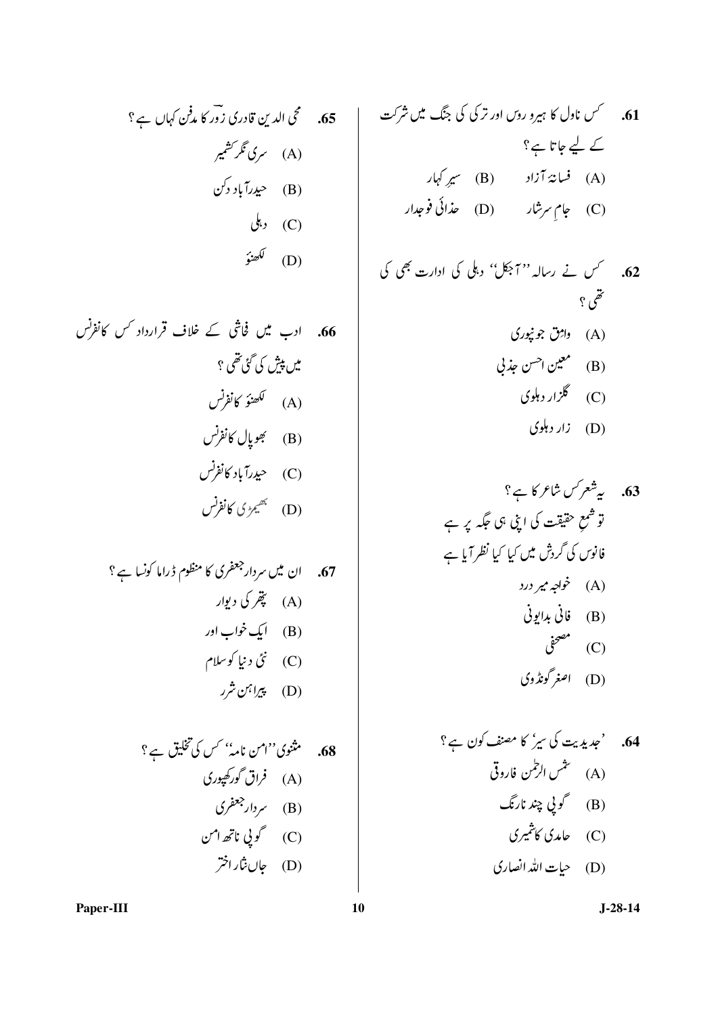کے لیے جاتا ہے؟ .<br>(A) فسانهٔ آزاد (B) سیرِ کہار تقمى ؟ (A) واژق جو نپوری (B) معين احسن جذبي (C) گلزار دہلوی

63. 
$$
4\pi\sqrt{2}
$$
 63  
\n $\vec{u} = \frac{4\pi}{3}$  63  
\n $\vec{u} = \frac{4\pi}{3}$  64  
\n $\vec{u} = \frac{2}{3}$  65  
\n $\vec{u} = \frac{2}{3}$  66  
\n(A)  
\n $\vec{u} = \frac{2}{3}$  67  
\n(B)  
\n(C)  
\n $\vec{u} = \frac{2}{3}$  68  
\n(C)  
\n $\vec{u} = \frac{2}{3}$ 

64. 
$$
{}^{c}\star\mathbf{L}
$$

$$
J-28-14
$$

65. متحمی الدین قادری زور کا م*دفن کہاں ہے*؟ (B) حيدرآباد دکن  $\downarrow,$  (C) لكھنؤ )<br>(D)

68. 
$$
\hat{f}^2
$$
  
\n(A)  $\hat{f}(\sqrt{x})$   
\n(A)  $\hat{f}(\sqrt{x})$   
\n(B)  $\hat{f}(\sqrt{x})$   
\n(B)  $\hat{f}(\sqrt{x})$   
\n(C)  $\hat{f}(\sqrt{x})$   
\n(C)  $\hat{f}(\sqrt{x})$ 

Paper-III

 $10$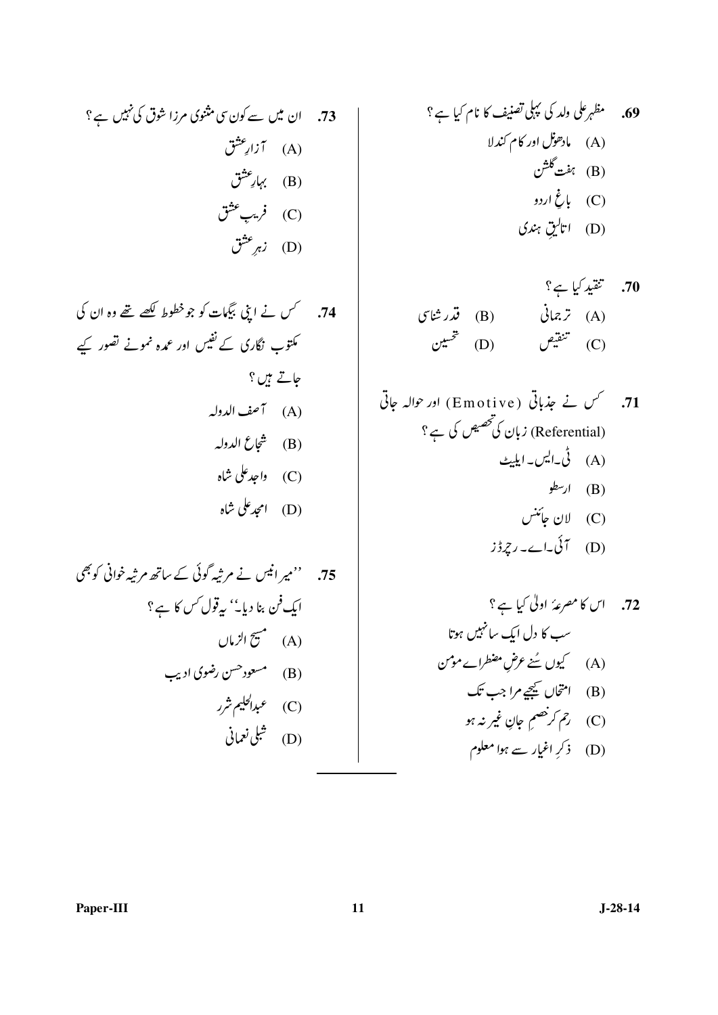70. 
$$
\begin{align*}\n &\text{Var}(B) \\
 &\text{(B)} \\
 &\text{(C)} \\
 &\text{(D)} \\
 &\text{(E)} \\
 &\text{(E)} \\
 &\text{(E)} \\
 &\text{(E)} \\
 &\text{(E)} \\
 &\text{(E)} \\
 &\text{(E)} \\
 &\text{(E)} \\
 &\text{(E)} \\
 &\text{(E)} \\
 &\text{(E)} \\
 &\text{(E)} \\
 &\text{(E)} \\
 &\text{(E)} \\
 &\text{(E)} \\
 &\text{(E)} \\
 &\text{(E)} \\
 &\text{(E)} \\
 &\text{(E)} \\
 &\text{(E)} \\
 &\text{(E)} \\
 &\text{(E)} \\
 &\text{(E)} \\
 &\text{(E)} \\
 &\text{(E)} \\
 &\text{(E)} \\
 &\text{(E)} \\
 &\text{(E)} \\
 &\text{(E)} \\
 &\text{(E)} \\
 &\text{(E)} \\
 &\text{(E)} \\
 &\text{(E)} \\
 &\text{(E)} \\
 &\text{(E)} \\
 &\text{(E)} \\
 &\text{(E)} \\
 &\text{(E)} \\
 &\text{(E)} \\
 &\text{(E)} \\
 &\text{(E)} \\
 &\text{(E)} \\
 &\text{(E)} \\
 &\text{(E)} \\
 &\text{(E)} \\
 &\text{(E)} \\
 &\text{(E)} \\
 &\text{(E)} \\
 &\text{(E)} \\
 &\text{(E)} \\
 &\text{(E)} \\
 &\text{(E)} \\
 &\text{(E)} \\
 &\text{(E)} \\
 &\text{(E)} \\
 &\text{(E)} \\
 &\text{(E)} \\
 &\text{(E)} \\
 &\text{(E)} \\
 &\text{(E)} \\
 &\text{(E)} \\
 &\text{(E)} \\
 &\text{(E)} \\
 &\text{(E)} \\
 &\text{(E)} \\
 &\text{(E)} \\
 &\text{(E)} \\
 &\text{(E)} \\
 &\text{(E)} \\
 &\text{(E)} \\
 &\text{(E)} \\
 &\text{(E)} \\
 &\text{(E)} \\
 &\text{(E)} \\
 &\text{(E)} \\
 &\text{(E)} \\
 &\text{(E)} \\
 &\text{(E)} \\
 &\text{(E)} \\
 &\text{(E)} \\
 &\text{(E)} \\
 &\text{(E)} \\
 &\text{(E)} \\
 &\text{(E)} \\
 &\text{(E)} \\
 &\text{(E)} \\
 &\text{(E)} \\
 &\text{(E)} \\
 &\text{(E)} \\
 &\text{(E)} \\
 &\text{(E)} \\
 &\text{(E)} \\
 &\text{(E)} \\
 &\text{(E)} \\
 &\text{(E)} \\
 &\text{(E)} \\
 &\text{(E)} \\
 &\text{(E)} \\
 &\text{(E)} \\
 &\text{(E)} \\
 &\text{(E)} \\
 &\text{(E)} \\
 &\text{(E)} \\
 &\
$$

71. 
$$
\overline{y}
$$
 (Emotive) اور 71) (وہ جالہ جاتی (Emotive) نہان کیتھیس کی ہے؟  
(Referential)  
(A) ار<sup>ر</sup>طو  
(B) ار<sup>ر</sup>طو  
(C) الان جاتش

$$
(\mathbf{D}) \quad \mathcal{L} \cup \mathcal{L} \quad (\mathbf{D})
$$

Paper-III